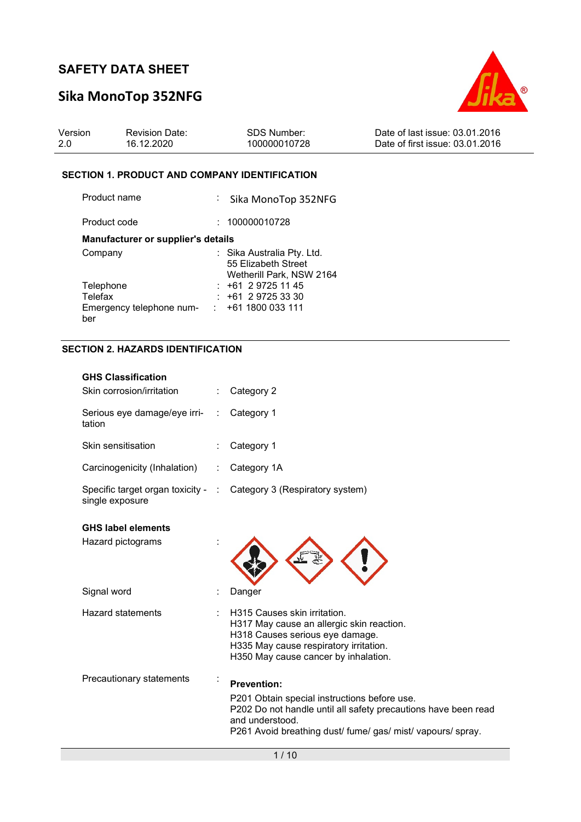# Sika MonoTop 352NFG



| Version | <b>Revision Date:</b> | SDS Number:  | Date of last issue: 03.01.2016  |
|---------|-----------------------|--------------|---------------------------------|
| 2.0     | 16.12.2020            | 100000010728 | Date of first issue: 03.01.2016 |

### SECTION 1. PRODUCT AND COMPANY IDENTIFICATION

| Product name                              | : Sika MonoTop 352NFG                                                         |
|-------------------------------------------|-------------------------------------------------------------------------------|
| Product code                              | : 100000010728                                                                |
| <b>Manufacturer or supplier's details</b> |                                                                               |
| Company                                   | : Sika Australia Pty. Ltd.<br>55 Elizabeth Street<br>Wetherill Park, NSW 2164 |
| Telephone                                 | $: +61297251145$                                                              |
| Telefax                                   | $+61$ 2 9725 33 30                                                            |
| Emergency telephone num-<br>ber           | $: +611800033111$                                                             |

### SECTION 2. HAZARDS IDENTIFICATION

| <b>GHS Classification</b>                             |                                                                                                                                                                                                                        |
|-------------------------------------------------------|------------------------------------------------------------------------------------------------------------------------------------------------------------------------------------------------------------------------|
| Skin corrosion/irritation                             | Category 2                                                                                                                                                                                                             |
| Serious eye damage/eye irri-<br>tation                | Category 1                                                                                                                                                                                                             |
| Skin sensitisation                                    | Category 1                                                                                                                                                                                                             |
| Carcinogenicity (Inhalation)                          | Category 1A                                                                                                                                                                                                            |
| Specific target organ toxicity - :<br>single exposure | Category 3 (Respiratory system)                                                                                                                                                                                        |
| <b>GHS label elements</b>                             |                                                                                                                                                                                                                        |
| Hazard pictograms                                     |                                                                                                                                                                                                                        |
| Signal word                                           | Danger                                                                                                                                                                                                                 |
| <b>Hazard statements</b>                              | H315 Causes skin irritation.<br>H317 May cause an allergic skin reaction.<br>H318 Causes serious eye damage.<br>H335 May cause respiratory irritation.<br>H350 May cause cancer by inhalation.                         |
| Precautionary statements                              | <b>Prevention:</b><br>P201 Obtain special instructions before use.<br>P202 Do not handle until all safety precautions have been read<br>and understood.<br>P261 Avoid breathing dust/ fume/ gas/ mist/ vapours/ spray. |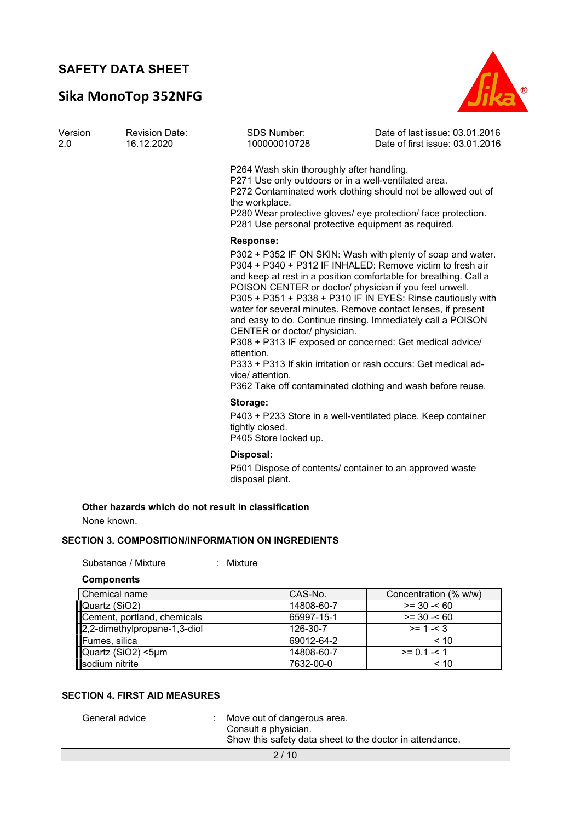# Sika MonoTop 352NFG



| Version<br>2.0 | <b>Revision Date:</b><br>16.12.2020 | <b>SDS Number:</b><br>100000010728                                                                                                                                         | Date of last issue: 03.01.2016<br>Date of first issue: 03.01.2016                                                                                                                                                                                                                                                                                                                                                                                                                                                                                                                                                                                |
|----------------|-------------------------------------|----------------------------------------------------------------------------------------------------------------------------------------------------------------------------|--------------------------------------------------------------------------------------------------------------------------------------------------------------------------------------------------------------------------------------------------------------------------------------------------------------------------------------------------------------------------------------------------------------------------------------------------------------------------------------------------------------------------------------------------------------------------------------------------------------------------------------------------|
|                |                                     | P264 Wash skin thoroughly after handling.<br>P271 Use only outdoors or in a well-ventilated area.<br>the workplace.<br>P281 Use personal protective equipment as required. | P272 Contaminated work clothing should not be allowed out of<br>P280 Wear protective gloves/ eye protection/ face protection.                                                                                                                                                                                                                                                                                                                                                                                                                                                                                                                    |
|                |                                     | <b>Response:</b><br>CENTER or doctor/ physician.<br>attention.<br>vice/ attention.                                                                                         | P302 + P352 IF ON SKIN: Wash with plenty of soap and water.<br>P304 + P340 + P312 IF INHALED: Remove victim to fresh air<br>and keep at rest in a position comfortable for breathing. Call a<br>POISON CENTER or doctor/ physician if you feel unwell.<br>P305 + P351 + P338 + P310 IF IN EYES: Rinse cautiously with<br>water for several minutes. Remove contact lenses, if present<br>and easy to do. Continue rinsing. Immediately call a POISON<br>P308 + P313 IF exposed or concerned: Get medical advice/<br>P333 + P313 If skin irritation or rash occurs: Get medical ad-<br>P362 Take off contaminated clothing and wash before reuse. |
|                |                                     | Storage:<br>tightly closed.<br>P405 Store locked up.                                                                                                                       | P403 + P233 Store in a well-ventilated place. Keep container                                                                                                                                                                                                                                                                                                                                                                                                                                                                                                                                                                                     |
|                |                                     | Disposal:<br>disposal plant.                                                                                                                                               | P501 Dispose of contents/ container to an approved waste                                                                                                                                                                                                                                                                                                                                                                                                                                                                                                                                                                                         |
| None known.    |                                     | Other hazards which do not result in classification                                                                                                                        |                                                                                                                                                                                                                                                                                                                                                                                                                                                                                                                                                                                                                                                  |

### SECTION 3. COMPOSITION/INFORMATION ON INGREDIENTS

Substance / Mixture : Mixture

**Components** 

| Chemical name                                                                         | CAS-No.    | Concentration (% w/w) |
|---------------------------------------------------------------------------------------|------------|-----------------------|
| Quartz (SiO2)                                                                         | 14808-60-7 | $>= 30 - 60$          |
| Cement, portland, chemicals                                                           | 65997-15-1 | $>= 30 - 60$          |
|                                                                                       | 126-30-7   | $>= 1 - 3$            |
|                                                                                       | 69012-64-2 | < 10                  |
|                                                                                       | 14808-60-7 | $>= 0.1 - 5.1$        |
| 2,2-dimethylpropane-1,3-diol<br>Fumes, silica<br>Quartz (SiO2) <5µm<br>sodium nitrite | 7632-00-0  | ~10                   |

#### SECTION 4. FIRST AID MEASURES

General advice : Move out of dangerous area. Consult a physician. Show this safety data sheet to the doctor in attendance.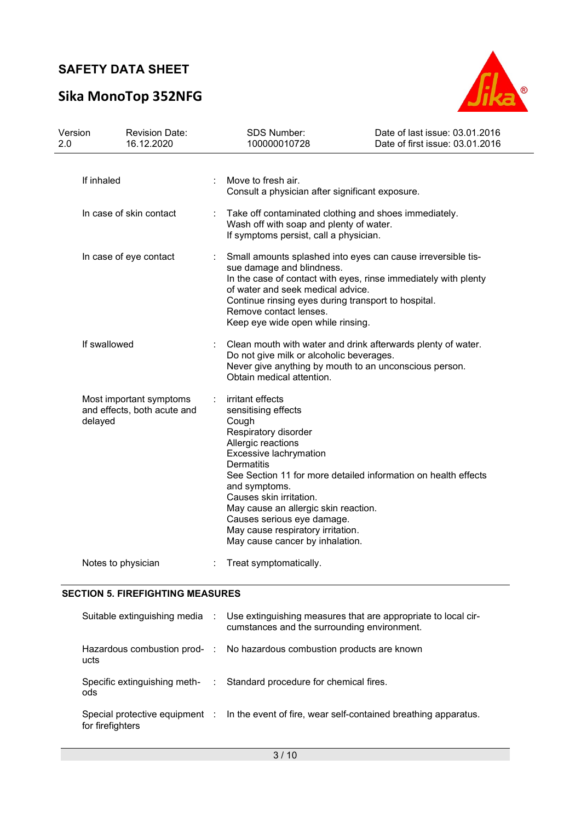# Sika MonoTop 352NFG



| Version<br>2.0 |                         | <b>Revision Date:</b><br>16.12.2020                    | <b>SDS Number:</b><br>100000010728                                                                                                                                                                                                                                                                                                                                                                        | Date of last issue: 03.01.2016<br>Date of first issue: 03.01.2016 |  |
|----------------|-------------------------|--------------------------------------------------------|-----------------------------------------------------------------------------------------------------------------------------------------------------------------------------------------------------------------------------------------------------------------------------------------------------------------------------------------------------------------------------------------------------------|-------------------------------------------------------------------|--|
|                | If inhaled              |                                                        | Move to fresh air.<br>Consult a physician after significant exposure.                                                                                                                                                                                                                                                                                                                                     |                                                                   |  |
|                | In case of skin contact |                                                        | Take off contaminated clothing and shoes immediately.<br>Wash off with soap and plenty of water.<br>If symptoms persist, call a physician.                                                                                                                                                                                                                                                                |                                                                   |  |
|                |                         | In case of eye contact                                 | Small amounts splashed into eyes can cause irreversible tis-<br>sue damage and blindness.<br>In the case of contact with eyes, rinse immediately with plenty<br>of water and seek medical advice.<br>Continue rinsing eyes during transport to hospital.<br>Remove contact lenses.<br>Keep eye wide open while rinsing.                                                                                   |                                                                   |  |
|                | If swallowed            |                                                        | Clean mouth with water and drink afterwards plenty of water.<br>Do not give milk or alcoholic beverages.<br>Never give anything by mouth to an unconscious person.<br>Obtain medical attention.                                                                                                                                                                                                           |                                                                   |  |
|                | delayed                 | Most important symptoms<br>and effects, both acute and | irritant effects<br>sensitising effects<br>Cough<br>Respiratory disorder<br>Allergic reactions<br>Excessive lachrymation<br><b>Dermatitis</b><br>See Section 11 for more detailed information on health effects<br>and symptoms.<br>Causes skin irritation.<br>May cause an allergic skin reaction.<br>Causes serious eye damage.<br>May cause respiratory irritation.<br>May cause cancer by inhalation. |                                                                   |  |
|                | Notes to physician      |                                                        | Treat symptomatically.                                                                                                                                                                                                                                                                                                                                                                                    |                                                                   |  |

### SECTION 5. FIREFIGHTING MEASURES

|                  | Suitable extinguishing media : Use extinguishing measures that are appropriate to local cir-<br>cumstances and the surrounding environment. |
|------------------|---------------------------------------------------------------------------------------------------------------------------------------------|
| ucts             | Hazardous combustion prod- : No hazardous combustion products are known                                                                     |
| ods              | Specific extinguishing meth- : Standard procedure for chemical fires.                                                                       |
| for firefighters | Special protective equipment : In the event of fire, wear self-contained breathing apparatus.                                               |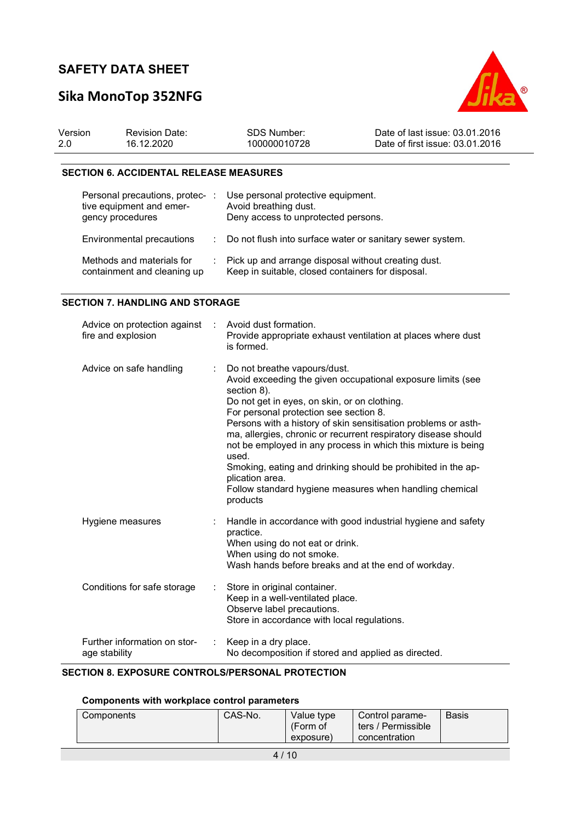# Sika MonoTop 352NFG



| Version | <b>Revision Date:</b> | SDS Number:  | Date of last issue: 03.01.2016  |
|---------|-----------------------|--------------|---------------------------------|
| 2.0     | 16.12.2020            | 100000010728 | Date of first issue: 03.01.2016 |

### SECTION 6. ACCIDENTAL RELEASE MEASURES

| Personal precautions, protec-<br>tive equipment and emer-<br>gency procedures | Use personal protective equipment.<br>Avoid breathing dust.<br>Deny access to unprotected persons.       |
|-------------------------------------------------------------------------------|----------------------------------------------------------------------------------------------------------|
| Environmental precautions                                                     | : Do not flush into surface water or sanitary sewer system.                                              |
| Methods and materials for<br>containment and cleaning up                      | Pick up and arrange disposal without creating dust.<br>Keep in suitable, closed containers for disposal. |

### SECTION 7. HANDLING AND STORAGE

| Advice on protection against<br>fire and explosion | $\sim 10$ | Avoid dust formation.<br>Provide appropriate exhaust ventilation at places where dust<br>is formed.                                                                                                                                                                                                                                                                                                                                                                                                                                                                          |
|----------------------------------------------------|-----------|------------------------------------------------------------------------------------------------------------------------------------------------------------------------------------------------------------------------------------------------------------------------------------------------------------------------------------------------------------------------------------------------------------------------------------------------------------------------------------------------------------------------------------------------------------------------------|
| Advice on safe handling                            | ÷.        | Do not breathe vapours/dust.<br>Avoid exceeding the given occupational exposure limits (see<br>section 8).<br>Do not get in eyes, on skin, or on clothing.<br>For personal protection see section 8.<br>Persons with a history of skin sensitisation problems or asth-<br>ma, allergies, chronic or recurrent respiratory disease should<br>not be employed in any process in which this mixture is being<br>used.<br>Smoking, eating and drinking should be prohibited in the ap-<br>plication area.<br>Follow standard hygiene measures when handling chemical<br>products |
| Hygiene measures                                   |           | Handle in accordance with good industrial hygiene and safety<br>practice.<br>When using do not eat or drink.<br>When using do not smoke.<br>Wash hands before breaks and at the end of workday.                                                                                                                                                                                                                                                                                                                                                                              |
| Conditions for safe storage                        | ÷.        | Store in original container.<br>Keep in a well-ventilated place.<br>Observe label precautions.<br>Store in accordance with local regulations.                                                                                                                                                                                                                                                                                                                                                                                                                                |
| Further information on stor-<br>age stability      | ÷         | Keep in a dry place.<br>No decomposition if stored and applied as directed.                                                                                                                                                                                                                                                                                                                                                                                                                                                                                                  |

### SECTION 8. EXPOSURE CONTROLS/PERSONAL PROTECTION

### Components with workplace control parameters

| CAS-No.<br>Value type<br><b>Basis</b><br>Components<br>Control parame-<br>(Form of<br>ters / Permissible<br>concentration<br>exposure) |
|----------------------------------------------------------------------------------------------------------------------------------------|
|----------------------------------------------------------------------------------------------------------------------------------------|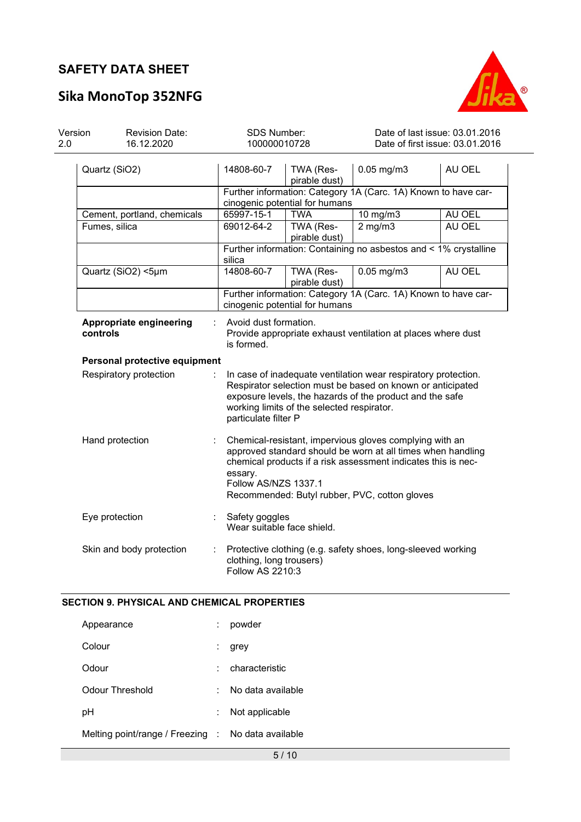# Sika MonoTop 352NFG



| Version<br>2.0 | <b>Revision Date:</b><br>16.12.2020 | SDS Number:<br>100000010728                                                                                                                                                                                                                                                 |                                | Date of last issue: 03.01.2016<br>Date of first issue: 03.01.2016 |        |  |  |
|----------------|-------------------------------------|-----------------------------------------------------------------------------------------------------------------------------------------------------------------------------------------------------------------------------------------------------------------------------|--------------------------------|-------------------------------------------------------------------|--------|--|--|
|                | Quartz (SiO2)                       | 14808-60-7                                                                                                                                                                                                                                                                  | TWA (Res-<br>pirable dust)     | $0.05$ mg/m $3$                                                   | AU OEL |  |  |
|                |                                     |                                                                                                                                                                                                                                                                             |                                | Further information: Category 1A (Carc. 1A) Known to have car-    |        |  |  |
|                |                                     |                                                                                                                                                                                                                                                                             | cinogenic potential for humans |                                                                   |        |  |  |
|                | Cement, portland, chemicals         | 65997-15-1                                                                                                                                                                                                                                                                  | <b>TWA</b>                     | 10 mg/m3                                                          | AU OEL |  |  |
|                | Fumes, silica                       | 69012-64-2                                                                                                                                                                                                                                                                  | TWA (Res-<br>pirable dust)     | $2$ mg/m $3$                                                      | AU OEL |  |  |
|                |                                     | silica                                                                                                                                                                                                                                                                      |                                | Further information: Containing no asbestos and < 1% crystalline  |        |  |  |
|                | Quartz (SiO2) <5µm                  | 14808-60-7                                                                                                                                                                                                                                                                  | TWA (Res-<br>pirable dust)     | $0.05$ mg/m $3$                                                   | AU OEL |  |  |
|                |                                     |                                                                                                                                                                                                                                                                             | cinogenic potential for humans | Further information: Category 1A (Carc. 1A) Known to have car-    |        |  |  |
|                | Appropriate engineering<br>controls | Avoid dust formation.<br>Provide appropriate exhaust ventilation at places where dust<br>is formed.                                                                                                                                                                         |                                |                                                                   |        |  |  |
|                | Personal protective equipment       |                                                                                                                                                                                                                                                                             |                                |                                                                   |        |  |  |
|                | Respiratory protection              | In case of inadequate ventilation wear respiratory protection.<br>Respirator selection must be based on known or anticipated<br>exposure levels, the hazards of the product and the safe<br>working limits of the selected respirator.<br>particulate filter P              |                                |                                                                   |        |  |  |
|                | Hand protection                     | Chemical-resistant, impervious gloves complying with an<br>approved standard should be worn at all times when handling<br>chemical products if a risk assessment indicates this is nec-<br>essary.<br>Follow AS/NZS 1337.1<br>Recommended: Butyl rubber, PVC, cotton gloves |                                |                                                                   |        |  |  |
|                | Eye protection                      | Safety goggles<br>Wear suitable face shield.                                                                                                                                                                                                                                |                                |                                                                   |        |  |  |
|                | Skin and body protection            | clothing, long trousers)<br><b>Follow AS 2210:3</b>                                                                                                                                                                                                                         |                                | Protective clothing (e.g. safety shoes, long-sleeved working      |        |  |  |

### SECTION 9. PHYSICAL AND CHEMICAL PROPERTIES

| Appearance                                         |   | powder            |
|----------------------------------------------------|---|-------------------|
| Colour                                             | ÷ | grey              |
| Odour                                              |   | characteristic    |
| Odour Threshold                                    | ٠ | No data available |
| рH                                                 |   | Not applicable    |
| Melting point/range / Freezing : No data available |   |                   |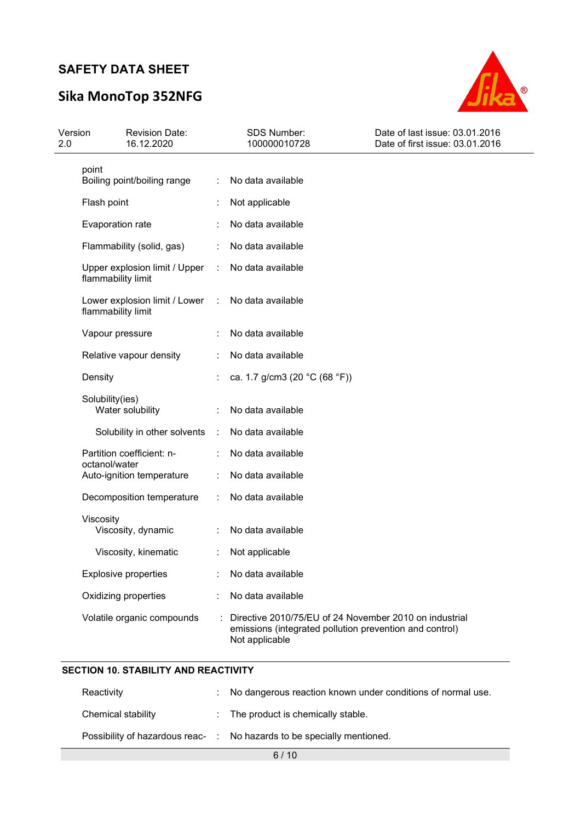# Sika MonoTop 352NFG



| Version<br>2.0 | <b>Revision Date:</b><br>16.12.2020                 |        | <b>SDS Number:</b><br>100000010728                                                                                                  | Date of last issue: 03.01.2016<br>Date of first issue: 03.01.2016 |
|----------------|-----------------------------------------------------|--------|-------------------------------------------------------------------------------------------------------------------------------------|-------------------------------------------------------------------|
|                | point<br>Boiling point/boiling range                | ÷      | No data available                                                                                                                   |                                                                   |
|                | Flash point                                         |        | Not applicable                                                                                                                      |                                                                   |
|                | Evaporation rate                                    |        | No data available                                                                                                                   |                                                                   |
|                | Flammability (solid, gas)                           |        | No data available                                                                                                                   |                                                                   |
|                | Upper explosion limit / Upper<br>flammability limit | ÷      | No data available                                                                                                                   |                                                                   |
|                | Lower explosion limit / Lower<br>flammability limit | $\sim$ | No data available                                                                                                                   |                                                                   |
|                | Vapour pressure                                     |        | No data available                                                                                                                   |                                                                   |
|                | Relative vapour density                             |        | No data available                                                                                                                   |                                                                   |
|                | Density                                             |        | ca. 1.7 g/cm3 (20 °C (68 °F))                                                                                                       |                                                                   |
|                | Solubility(ies)<br>Water solubility                 |        | No data available                                                                                                                   |                                                                   |
|                | Solubility in other solvents                        | ÷      | No data available                                                                                                                   |                                                                   |
|                | Partition coefficient: n-                           |        | No data available                                                                                                                   |                                                                   |
|                | octanol/water<br>Auto-ignition temperature          |        | No data available                                                                                                                   |                                                                   |
|                | Decomposition temperature                           |        | No data available                                                                                                                   |                                                                   |
|                | Viscosity<br>Viscosity, dynamic                     |        | No data available                                                                                                                   |                                                                   |
|                | Viscosity, kinematic                                |        | Not applicable                                                                                                                      |                                                                   |
|                | <b>Explosive properties</b>                         |        | No data available                                                                                                                   |                                                                   |
|                | Oxidizing properties                                |        | No data available                                                                                                                   |                                                                   |
|                | Volatile organic compounds                          |        | Directive 2010/75/EU of 24 November 2010 on industrial<br>emissions (integrated pollution prevention and control)<br>Not applicable |                                                                   |

### SECTION 10. STABILITY AND REACTIVITY

| Reactivity         |  | : No dangerous reaction known under conditions of normal use.          |  |
|--------------------|--|------------------------------------------------------------------------|--|
| Chemical stability |  | $\therefore$ The product is chemically stable.                         |  |
|                    |  | Possibility of hazardous reac- : No hazards to be specially mentioned. |  |
| 6/10               |  |                                                                        |  |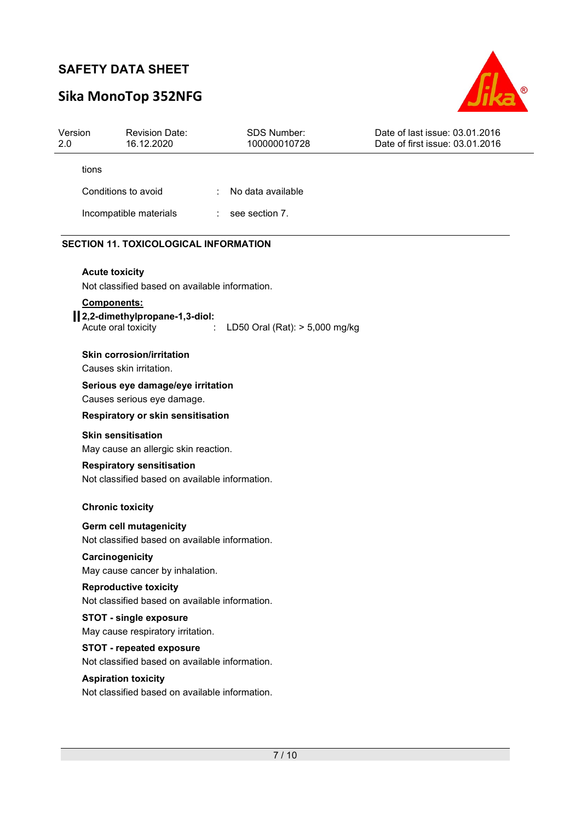# Sika MonoTop 352NFG



| Version<br>2.0 | <b>Revision Date:</b><br>16.12.2020                                                    | <b>SDS Number:</b><br>100000010728 | Date of last issue: 03.01.2016<br>Date of first issue: 03.01.2016 |
|----------------|----------------------------------------------------------------------------------------|------------------------------------|-------------------------------------------------------------------|
|                | tions                                                                                  |                                    |                                                                   |
|                | Conditions to avoid                                                                    | No data available                  |                                                                   |
|                | Incompatible materials                                                                 | see section 7.                     |                                                                   |
|                | <b>SECTION 11. TOXICOLOGICAL INFORMATION</b>                                           |                                    |                                                                   |
|                | <b>Acute toxicity</b><br>Not classified based on available information.<br>Components: |                                    |                                                                   |
|                | 1.2,2-dimethylpropane-1,3-diol:<br>Acute oral toxicity                                 | LD50 Oral (Rat): > 5,000 mg/kg     |                                                                   |
|                | <b>Skin corrosion/irritation</b><br>Causes skin irritation.                            |                                    |                                                                   |
|                | Serious eye damage/eye irritation<br>Causes serious eye damage.                        |                                    |                                                                   |
|                | Respiratory or skin sensitisation                                                      |                                    |                                                                   |
|                | <b>Skin sensitisation</b>                                                              |                                    |                                                                   |
|                | May cause an allergic skin reaction.                                                   |                                    |                                                                   |
|                | <b>Respiratory sensitisation</b><br>Not classified based on available information.     |                                    |                                                                   |
|                | <b>Chronic toxicity</b>                                                                |                                    |                                                                   |
|                | Germ cell mutagenicity<br>Not classified based on available information.               |                                    |                                                                   |
|                | Carcinogenicity<br>May cause cancer by inhalation.                                     |                                    |                                                                   |
|                | <b>Reproductive toxicity</b><br>Not classified based on available information.         |                                    |                                                                   |
|                | <b>STOT - single exposure</b><br>May cause respiratory irritation.                     |                                    |                                                                   |
|                | <b>STOT - repeated exposure</b><br>Not classified based on available information.      |                                    |                                                                   |
|                | <b>Aspiration toxicity</b><br>Not classified based on available information.           |                                    |                                                                   |
|                |                                                                                        |                                    |                                                                   |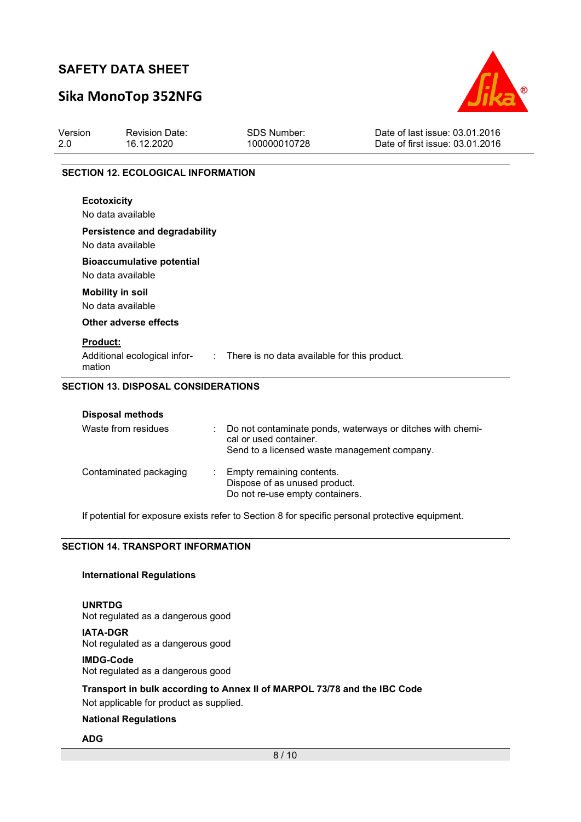## Sika MonoTop 352NFG



| <b>Revision Date:</b><br>16.12.2020                   | <b>SDS Number:</b><br>100000010728 | Date of last issue: 03.01.2016<br>Date of first issue: 03.01.2016                                                                                                |
|-------------------------------------------------------|------------------------------------|------------------------------------------------------------------------------------------------------------------------------------------------------------------|
|                                                       |                                    |                                                                                                                                                                  |
| <b>Ecotoxicity</b>                                    |                                    |                                                                                                                                                                  |
| No data available                                     |                                    |                                                                                                                                                                  |
| <b>Bioaccumulative potential</b><br>No data available |                                    |                                                                                                                                                                  |
| <b>Mobility in soil</b><br>No data available          |                                    |                                                                                                                                                                  |
| Other adverse effects                                 |                                    |                                                                                                                                                                  |
| <b>Product:</b><br>mation                             |                                    |                                                                                                                                                                  |
|                                                       | No data available                  | <b>SECTION 12. ECOLOGICAL INFORMATION</b><br><b>Persistence and degradability</b><br>Additional ecological infor- : There is no data available for this product. |

| <b>Disposal methods</b> |                                                                                                                                        |
|-------------------------|----------------------------------------------------------------------------------------------------------------------------------------|
| Waste from residues     | : Do not contaminate ponds, waterways or ditches with chemi-<br>cal or used container.<br>Send to a licensed waste management company. |
| Contaminated packaging  | : Empty remaining contents.<br>Dispose of as unused product.<br>Do not re-use empty containers.                                        |

If potential for exposure exists refer to Section 8 for specific personal protective equipment.

### SECTION 14. TRANSPORT INFORMATION

### International Regulations

UNRTDG Not regulated as a dangerous good

IATA-DGR

Not regulated as a dangerous good

IMDG-Code Not regulated as a dangerous good

### Transport in bulk according to Annex II of MARPOL 73/78 and the IBC Code

Not applicable for product as supplied.

#### National Regulations

### ADG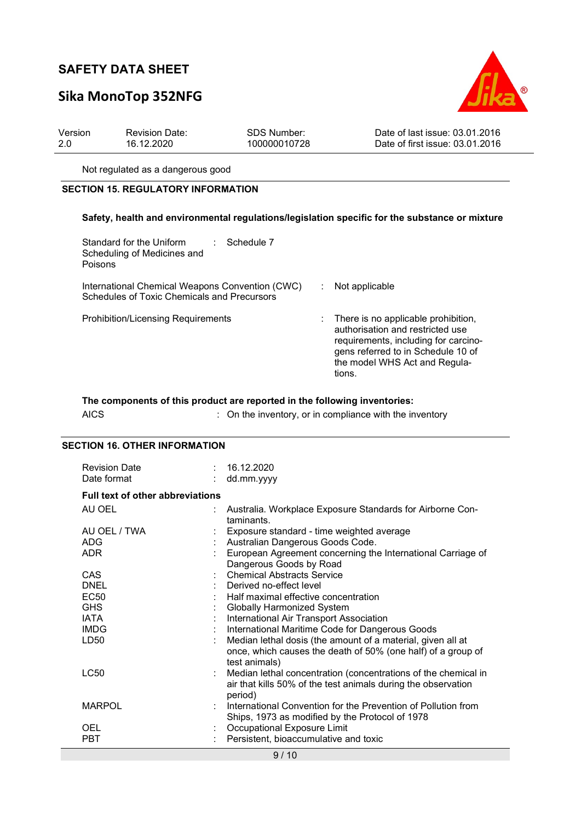# Sika MonoTop 352NFG



| Version | <b>Revision Date:</b> | <b>SDS Number:</b> | Date of last issue: 03.01.2016  |
|---------|-----------------------|--------------------|---------------------------------|
| 2.0     | 16.12.2020            | 100000010728       | Date of first issue: 03.01.2016 |

Not regulated as a dangerous good

### SECTION 15. REGULATORY INFORMATION

#### Safety, health and environmental regulations/legislation specific for the substance or mixture

| Standard for the Uniform<br>Scheduling of Medicines and<br>Poisons                             | ∴ Schedule 7 |                                                                                                                                                                                                    |
|------------------------------------------------------------------------------------------------|--------------|----------------------------------------------------------------------------------------------------------------------------------------------------------------------------------------------------|
| International Chemical Weapons Convention (CWC)<br>Schedules of Toxic Chemicals and Precursors |              | Not applicable                                                                                                                                                                                     |
| <b>Prohibition/Licensing Requirements</b>                                                      |              | : There is no applicable prohibition,<br>authorisation and restricted use<br>requirements, including for carcino-<br>gens referred to in Schedule 10 of<br>the model WHS Act and Regula-<br>tions. |

### The components of this product are reported in the following inventories:

| <b>AICS</b> |  | : On the inventory, or in compliance with the inventory |  |
|-------------|--|---------------------------------------------------------|--|
|-------------|--|---------------------------------------------------------|--|

### SECTION 16. OTHER INFORMATION

| <b>Revision Date</b><br>Date format     | : 16.12.2020<br>: dd.mm.yyyy                                                                                                                 |
|-----------------------------------------|----------------------------------------------------------------------------------------------------------------------------------------------|
| <b>Full text of other abbreviations</b> |                                                                                                                                              |
| AU OEL                                  | Australia. Workplace Exposure Standards for Airborne Con-<br>taminants.                                                                      |
| AU OEL / TWA                            | Exposure standard - time weighted average                                                                                                    |
| <b>ADG</b>                              | Australian Dangerous Goods Code.                                                                                                             |
| ADR.                                    | European Agreement concerning the International Carriage of<br>Dangerous Goods by Road                                                       |
| CAS                                     | <b>Chemical Abstracts Service</b>                                                                                                            |
| DNEL                                    | Derived no-effect level                                                                                                                      |
| EC50                                    | Half maximal effective concentration                                                                                                         |
| <b>GHS</b>                              | <b>Globally Harmonized System</b>                                                                                                            |
| IATA                                    | International Air Transport Association                                                                                                      |
| <b>IMDG</b>                             | International Maritime Code for Dangerous Goods                                                                                              |
| LD50                                    | Median lethal dosis (the amount of a material, given all at<br>once, which causes the death of 50% (one half) of a group of<br>test animals) |
| LC50                                    | Median lethal concentration (concentrations of the chemical in<br>air that kills 50% of the test animals during the observation<br>period)   |
| <b>MARPOL</b>                           | : International Convention for the Prevention of Pollution from<br>Ships, 1973 as modified by the Protocol of 1978                           |
| OEL                                     | Occupational Exposure Limit                                                                                                                  |
| <b>PBT</b>                              | Persistent, bioaccumulative and toxic                                                                                                        |

9 / 10